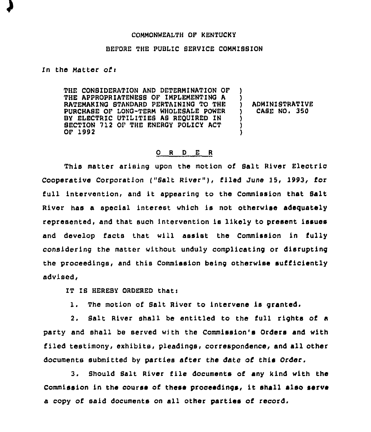## COMMONWEALTH OF KENTUCKY

## BEFORE THE PUBLIC BERVICE COMMIBSION

In the Matter of $\mathbf t$ 

THE CONBIDERATION AND DETERMINATION OF THE APPROPRIATENESS OF IMPLEMENTING A RATEMAKINO STANDARD PERTAININO TO THE PURCHASE OF LONO-TERM WHOLESALE POWER BY ELECTRIC UTILITIES AS REQUIRED IN SECTION 712 OF THE ENEROY POLICY ACT OF 1992 ) ) ) ADMINISTRATIVE<br>) CASE NO. 350 ) CASE NO <sup>~</sup> 350 ) ) )

## 0 <sup>R</sup> <sup>D</sup> E <sup>R</sup>

This matter arising upon the motion of Salt River Electric Cooperative Corporation ("Salt River"), filed June 15, 1993, for full intervention, and it appearing to the Commission that Salt River has a special interest which is not otherwise adequately represented, and that such intervention ls likely to present issues and develop facts that will assist the Commlsslon in tully considering the matter without unduly compllcatlng or disrupting the proceedings, and this Commission being otherwise sufficiently advised.

IT IS HEREBY ORDERED that:

1. The motion of Salt River to intervene ls granted.

2. Salt River shall be entitled to the full rights of a party and shall be served with the Commission's Orders and with filed testimony, exhibits, pleadings, correspondence, and all other documents submitted by parties after the date of this Order.

3. Should Salt River file documents of any kind with the Commission in the course of these proceedings, it shall also serve a copy of said documents on all other parties of record.